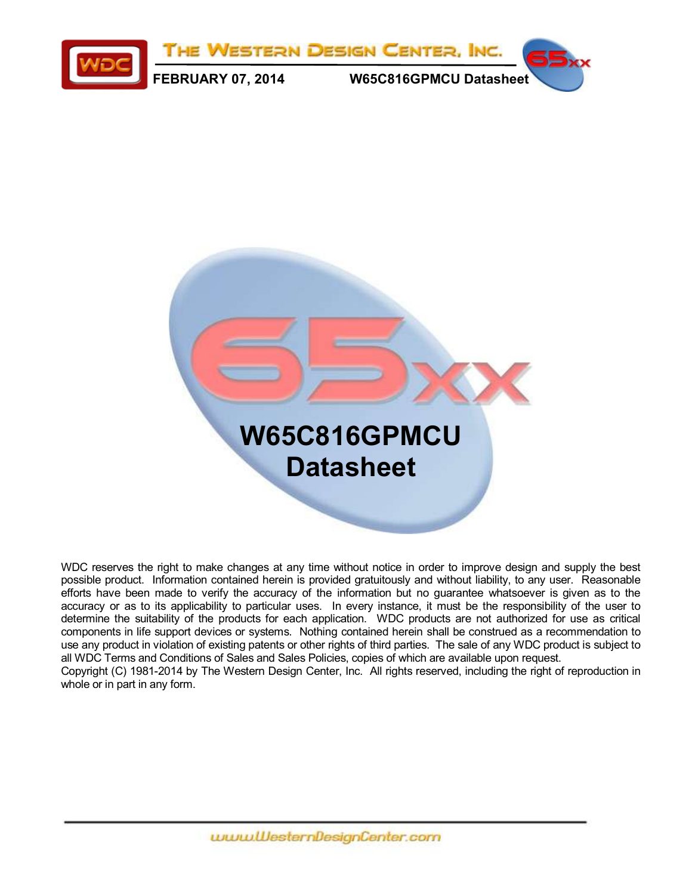



WDC reserves the right to make changes at any time without notice in order to improve design and supply the best possible product. Information contained herein is provided gratuitously and without liability, to any user. Reasonable efforts have been made to verify the accuracy of the information but no guarantee whatsoever is given as to the accuracy or as to its applicability to particular uses. In every instance, it must be the responsibility of the user to determine the suitability of the products for each application. WDC products are not authorized for use as critical components in life support devices or systems. Nothing contained herein shall be construed as a recommendation to use any product in violation of existing patents or other rights of third parties. The sale of any WDC product is subject to all WDC Terms and Conditions of Sales and Sales Policies, copies of which are available upon request. Copyright (C) 1981-2014 by The Western Design Center, Inc. All rights reserved, including the right of reproduction in whole or in part in any form.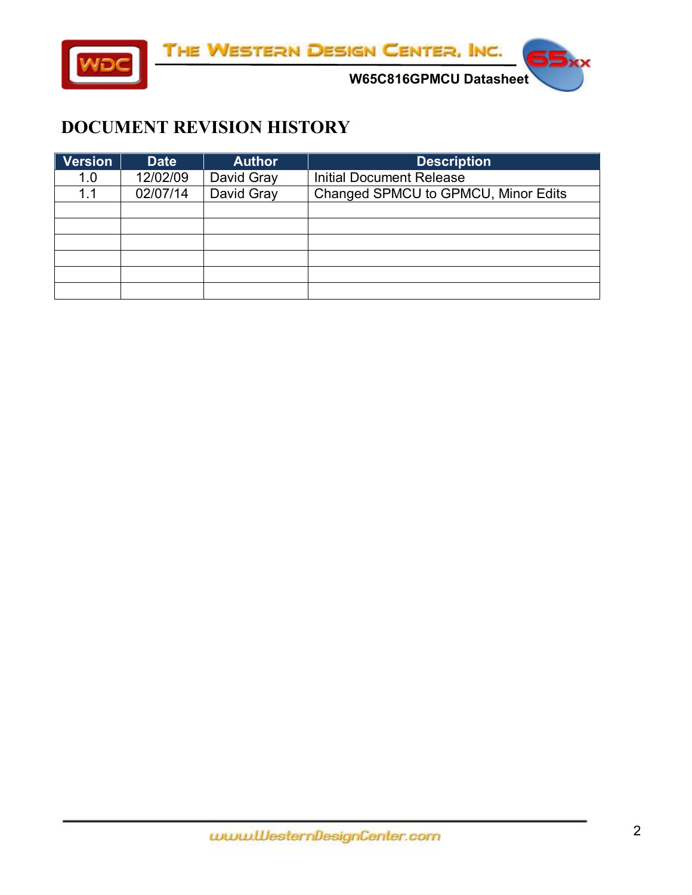

**W65C816GPMCU Datasheet** 

#### <span id="page-1-0"></span>**DOCUMENT REVISION HISTORY**

| Version | <b>Date</b> | <b>Author</b> | <b>Description</b>                  |
|---------|-------------|---------------|-------------------------------------|
| 1.0     | 12/02/09    | David Gray    | <b>Initial Document Release</b>     |
| 1.1     | 02/07/14    | David Gray    | Changed SPMCU to GPMCU, Minor Edits |
|         |             |               |                                     |
|         |             |               |                                     |
|         |             |               |                                     |
|         |             |               |                                     |
|         |             |               |                                     |
|         |             |               |                                     |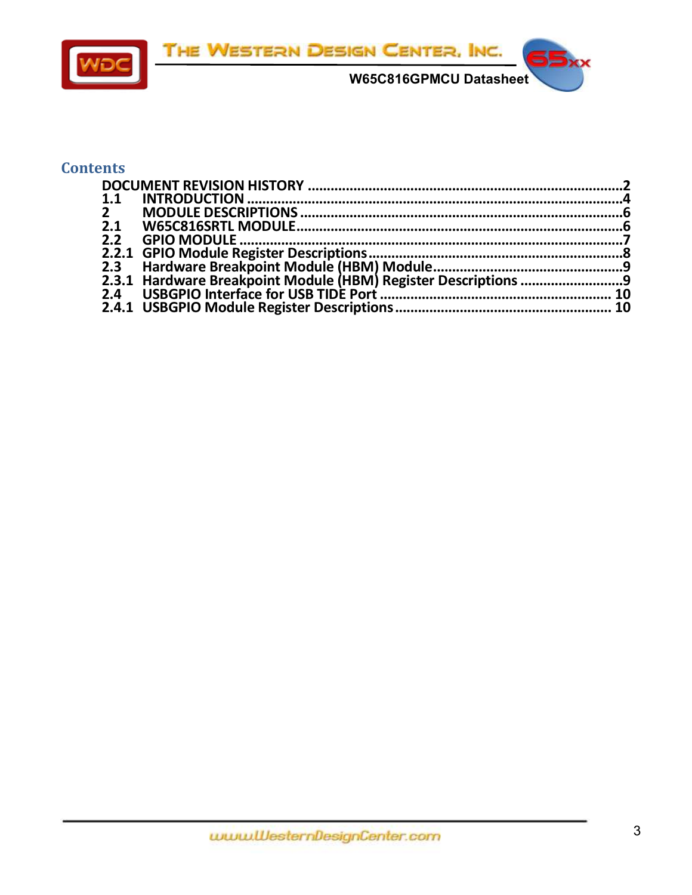

#### **Contents**

| 1.1          |  |
|--------------|--|
| $\mathbf{2}$ |  |
| 2.1          |  |
|              |  |
|              |  |
|              |  |
|              |  |
|              |  |
|              |  |
|              |  |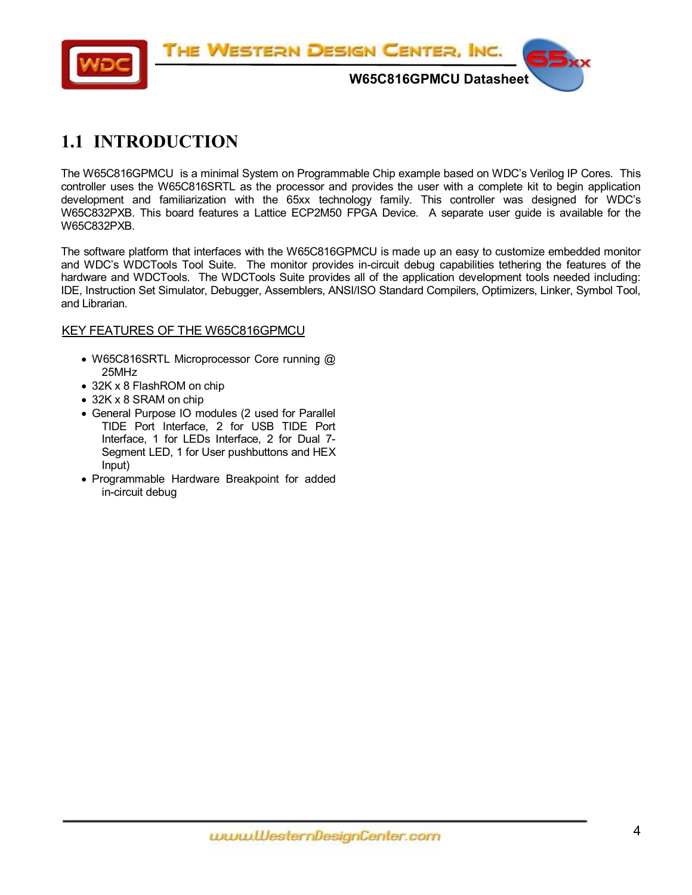

## <span id="page-3-0"></span>**1.1 INTRODUCTION**

The W65C816GPMCU is a minimal System on Programmable Chip example based on WDC's Verilog IP Cores. This controller uses the W65C816SRTL as the processor and provides the user with a complete kit to begin application development and familiarization with the 65xx technology family. This controller was designed for WDC's W65C832PXB. This board features a Lattice ECP2M50 FPGA Device. A separate user guide is available for the W65C832PXB.

The software platform that interfaces with the W65C816GPMCU is made up an easy to customize embedded monitor and WDC's WDCTools Tool Suite. The monitor provides in-circuit debug capabilities tethering the features of the hardware and WDCTools. The WDCTools Suite provides all of the application development tools needed including: IDE, Instruction Set Simulator, Debugger, Assemblers, ANSI/ISO Standard Compilers, Optimizers, Linker, Symbol Tool, and Librarian.

#### KEY FEATURES OF THE W65C816GPMCU

- W65C816SRTL Microprocessor Core running @ 25MHz
- 32K x 8 FlashROM on chip
- 32K x 8 SRAM on chip
- General Purpose IO modules (2 used for Parallel TIDE Port Interface, 2 for USB TIDE Port Interface, 1 for LEDs Interface, 2 for Dual 7- Segment LED, 1 for User pushbuttons and HEX Input)
- Programmable Hardware Breakpoint for added in-circuit debug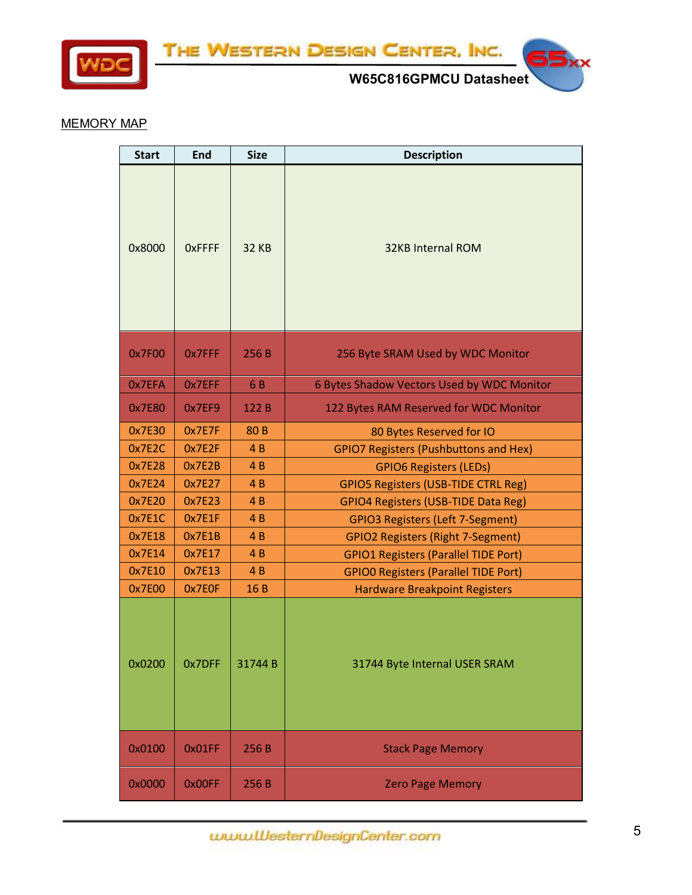

THE WESTERN DESIGN CENTER, INC.



55

#### MEMORY MAP

| <b>Start</b> | <b>End</b>    | <b>Size</b>     | <b>Description</b>                           |  |  |  |
|--------------|---------------|-----------------|----------------------------------------------|--|--|--|
| 0x8000       | <b>OxFFFF</b> | <b>32 KB</b>    | <b>32KB Internal ROM</b>                     |  |  |  |
| 0x7F00       | 0x7FFF        | 256 B           | 256 Byte SRAM Used by WDC Monitor            |  |  |  |
| 0x7EFA       | 0x7EFF        | 6 B             | 6 Bytes Shadow Vectors Used by WDC Monitor   |  |  |  |
| 0x7E80       | 0x7EF9        | 122 B           | 122 Bytes RAM Reserved for WDC Monitor       |  |  |  |
| 0x7E30       | 0x7E7F        | 80 <sub>B</sub> | 80 Bytes Reserved for IO                     |  |  |  |
| 0x7E2C       | 0x7E2F        | 4B              | <b>GPIO7 Registers (Pushbuttons and Hex)</b> |  |  |  |
| 0x7E28       | 0x7E2B        | 4 <sub>B</sub>  | <b>GPIO6 Registers (LEDs)</b>                |  |  |  |
| 0x7E24       | 0x7E27        | 4B              | <b>GPIO5 Registers (USB-TIDE CTRL Reg)</b>   |  |  |  |
| 0x7E20       | 0x7E23        | 4B              | <b>GPIO4 Registers (USB-TIDE Data Reg)</b>   |  |  |  |
| 0x7E1C       | 0x7E1F        | 4B              | <b>GPIO3 Registers (Left 7-Segment)</b>      |  |  |  |
| 0x7E18       | 0x7E1B        | 4B              | <b>GPIO2 Registers (Right 7-Segment)</b>     |  |  |  |
| 0x7E14       | 0x7E17        | 4B              | <b>GPIO1 Registers (Parallel TIDE Port)</b>  |  |  |  |
| 0x7E10       | 0x7E13        | 4B              | <b>GPIO0 Registers (Parallel TIDE Port)</b>  |  |  |  |
| 0x7E00       | 0x7E0F        | 16 B            | <b>Hardware Breakpoint Registers</b>         |  |  |  |
| 0x0200       | 0x7DFF        | 31744B          | 31744 Byte Internal USER SRAM                |  |  |  |
| 0x0100       | 0x01FF        | 256 B           | <b>Stack Page Memory</b>                     |  |  |  |
| 0x0000       | 0x00FF        | 256 B           | <b>Zero Page Memory</b>                      |  |  |  |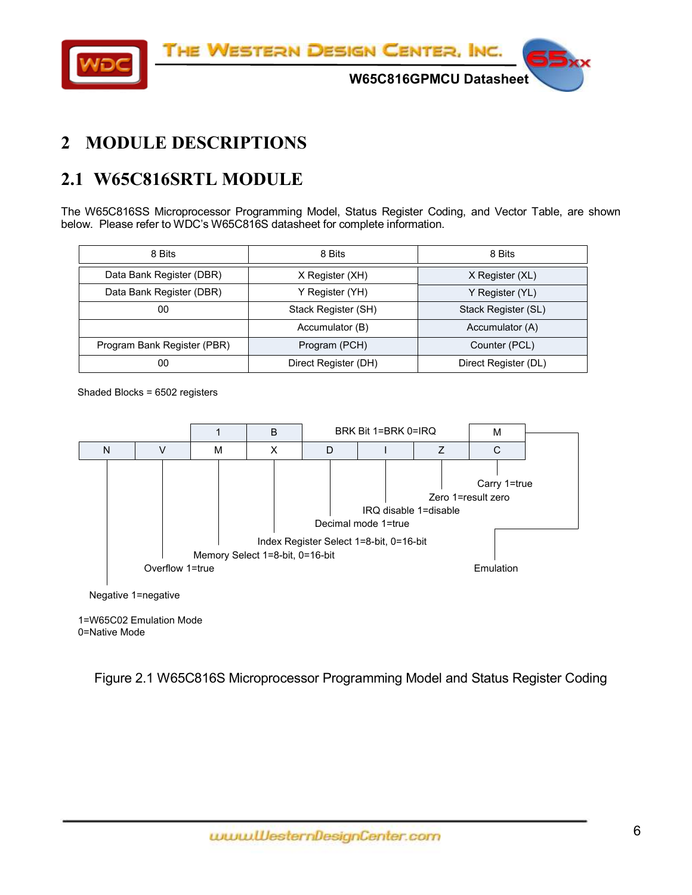THE WESTERN DESIGN CENTER, INC.



**W65C816GPMCU Datasheet** 

# <span id="page-5-0"></span>**2 MODULE DESCRIPTIONS**

# <span id="page-5-1"></span>**2.1 W65C816SRTL MODULE**

The W65C816SS Microprocessor Programming Model, Status Register Coding, and Vector Table, are shown below. Please refer to WDC's W65C816S datasheet for complete information.

| 8 Bits                      | 8 Bits               | 8 Bits               |  |
|-----------------------------|----------------------|----------------------|--|
| Data Bank Register (DBR)    | X Register (XH)      | X Register (XL)      |  |
| Data Bank Register (DBR)    | Y Register (YH)      | Y Register (YL)      |  |
| 00                          | Stack Register (SH)  | Stack Register (SL)  |  |
|                             | Accumulator (B)      | Accumulator (A)      |  |
| Program Bank Register (PBR) | Program (PCH)        | Counter (PCL)        |  |
| 00                          | Direct Register (DH) | Direct Register (DL) |  |

Shaded Blocks = 6502 registers



1=W65C02 Emulation Mode 0=Native Mode

Figure 2.1 W65C816S Microprocessor Programming Model and Status Register Coding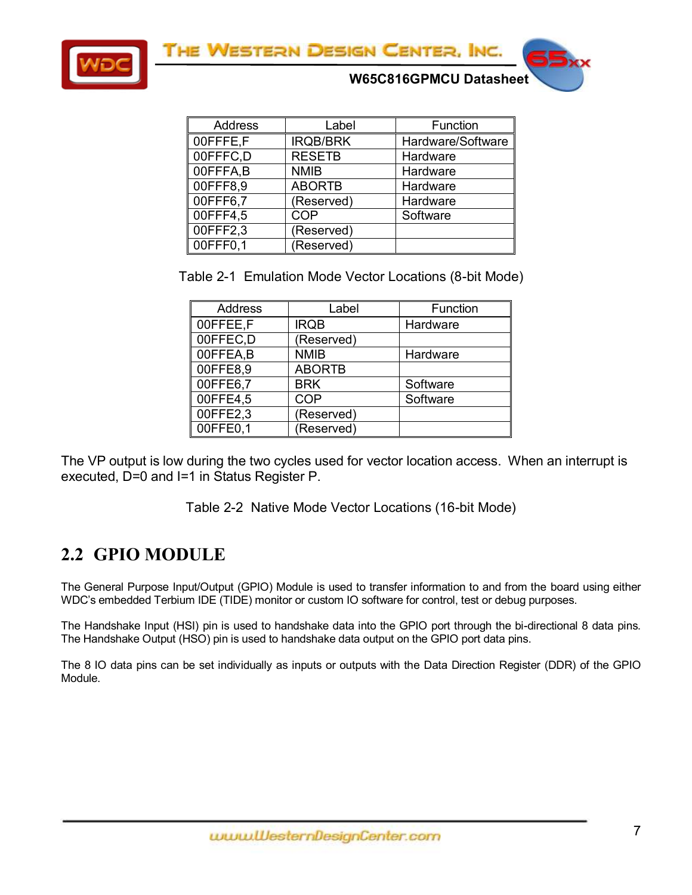THE WESTERN DESIGN CENTER, INC.



**W65C816GPMCU Datasheet** 

| <b>Address</b> | Label           | Function          |
|----------------|-----------------|-------------------|
| 00FFFE,F       | <b>IRQB/BRK</b> | Hardware/Software |
| 00FFFC,D       | <b>RESETB</b>   | Hardware          |
| 00FFFA,B       | <b>NMIB</b>     | Hardware          |
| 00FFF8,9       | <b>ABORTB</b>   | Hardware          |
| 00FFF6,7       | (Reserved)      | Hardware          |
| 00FFF4,5       | COP             | Software          |
| 00FFF2,3       | (Reserved)      |                   |
| 00FFF0,1       | (Reserved)      |                   |

Table 2-1 Emulation Mode Vector Locations (8-bit Mode)

| <b>Address</b> | Label         | Function |
|----------------|---------------|----------|
| 00FFEE,F       | <b>IRQB</b>   | Hardware |
| 00FFEC,D       | (Reserved)    |          |
| 00FFEA,B       | <b>NMIB</b>   | Hardware |
| 00FFE8,9       | <b>ABORTB</b> |          |
| 00FFE6,7       | <b>BRK</b>    | Software |
| 00FFE4,5       | <b>COP</b>    | Software |
| 00FFE2,3       | (Reserved)    |          |
| 00FFE0,1       | (Reserved)    |          |

The VP output is low during the two cycles used for vector location access. When an interrupt is executed, D=0 and I=1 in Status Register P.

Table 2-2 Native Mode Vector Locations (16-bit Mode)

## <span id="page-6-0"></span>**2.2 GPIO MODULE**

The General Purpose Input/Output (GPIO) Module is used to transfer information to and from the board using either WDC's embedded Terbium IDE (TIDE) monitor or custom IO software for control, test or debug purposes.

The Handshake Input (HSI) pin is used to handshake data into the GPIO port through the bi-directional 8 data pins. The Handshake Output (HSO) pin is used to handshake data output on the GPIO port data pins.

The 8 IO data pins can be set individually as inputs or outputs with the Data Direction Register (DDR) of the GPIO Module.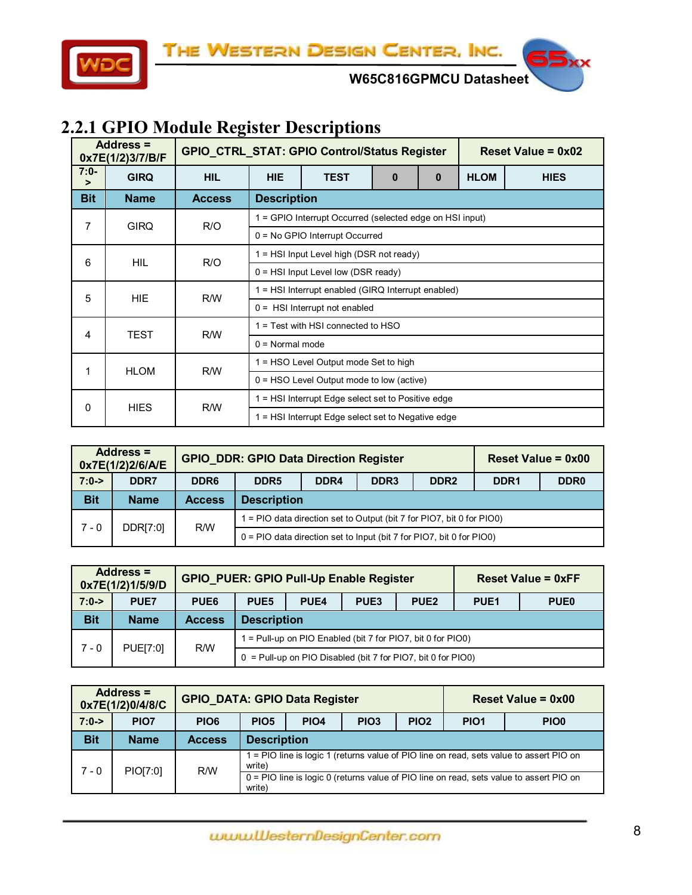

**W65C816GPMCU Datasheet** 

# <span id="page-7-0"></span>**2.2.1 GPIO Module Register Descriptions**

|             | Address $=$<br>0x7E(1/2)3/7/B/F |               |                                                    | GPIO_CTRL_STAT: GPIO Control/Status Register                   | Reset Value = $0x02$ |  |  |  |  |  |
|-------------|---------------------------------|---------------|----------------------------------------------------|----------------------------------------------------------------|----------------------|--|--|--|--|--|
| $7:0-$<br>⋗ | <b>GIRQ</b>                     | <b>HIL</b>    | <b>HIE</b>                                         | <b>TEST</b><br><b>HLOM</b><br>$\mathbf{0}$<br><b>HIES</b><br>0 |                      |  |  |  |  |  |
| <b>Bit</b>  | <b>Name</b>                     | <b>Access</b> |                                                    | <b>Description</b>                                             |                      |  |  |  |  |  |
| 7           | <b>GIRQ</b>                     | R/O           |                                                    | 1 = GPIO Interrupt Occurred (selected edge on HSI input)       |                      |  |  |  |  |  |
|             |                                 |               |                                                    | $0 = No$ GPIO Interrupt Occurred                               |                      |  |  |  |  |  |
| 6           | HIL.                            | R/O           | $1 = HSI$ Input Level high (DSR not ready)         |                                                                |                      |  |  |  |  |  |
|             |                                 |               | $0 = HSI$ Input Level low (DSR ready)              |                                                                |                      |  |  |  |  |  |
| 5           | HIE.                            | R/W           | 1 = HSI Interrupt enabled (GIRQ Interrupt enabled) |                                                                |                      |  |  |  |  |  |
|             |                                 |               | $0 =$ HSI Interrupt not enabled                    |                                                                |                      |  |  |  |  |  |
| 4           | TEST                            | R/W           | 1 = Test with HSI connected to HSO                 |                                                                |                      |  |  |  |  |  |
|             |                                 |               | $0 = Normal mode$                                  |                                                                |                      |  |  |  |  |  |
| 1           | <b>HLOM</b>                     | R/W           |                                                    | 1 = HSO Level Output mode Set to high                          |                      |  |  |  |  |  |
|             |                                 |               |                                                    | $0 =$ HSO Level Output mode to low (active)                    |                      |  |  |  |  |  |
|             | <b>HIES</b>                     |               |                                                    | 1 = HSI Interrupt Edge select set to Positive edge             |                      |  |  |  |  |  |
| 0           |                                 | R/W           |                                                    | 1 = HSI Interrupt Edge select set to Negative edge             |                      |  |  |  |  |  |

| Address =<br>0x7E(1/2)2/6/A/E |             |                  | <b>GPIO_DDR: GPIO Data Direction Register</b>                          |                    | Reset Value = $0x00$ |  |                  |                  |  |  |
|-------------------------------|-------------|------------------|------------------------------------------------------------------------|--------------------|----------------------|--|------------------|------------------|--|--|
| $7:0-$                        | DDR7        | DDR <sub>6</sub> | DDR <sub>3</sub><br>DDR <sub>5</sub><br>DDR4<br>DDR <sub>2</sub>       |                    |                      |  | DDR <sub>1</sub> | DDR <sub>0</sub> |  |  |
| <b>Bit</b>                    | <b>Name</b> | <b>Access</b>    |                                                                        | <b>Description</b> |                      |  |                  |                  |  |  |
| $7 - 0$                       | DDR[7:0]    | R/W              | 1 = PIO data direction set to Output (bit 7 for PIO7, bit 0 for PIO0)  |                    |                      |  |                  |                  |  |  |
|                               |             |                  | $0 =$ PIO data direction set to Input (bit 7 for PIO7, bit 0 for PIO0) |                    |                      |  |                  |                  |  |  |

| Address =<br>0x7E(1/2)1/5/9/D |             |                  | <b>GPIO_PUER: GPIO Pull-Up Enable Register</b>                 |                    |                  |                                                             | <b>Reset Value = 0xFF</b> |             |  |
|-------------------------------|-------------|------------------|----------------------------------------------------------------|--------------------|------------------|-------------------------------------------------------------|---------------------------|-------------|--|
| $7:0-$                        | <b>PUE7</b> | PUE <sub>6</sub> | PUE <sub>5</sub>                                               | PUE <sub>4</sub>   | PUE <sub>3</sub> | <b>PUE2</b>                                                 | PUE <sub>1</sub>          | <b>PUE0</b> |  |
| <b>Bit</b>                    | <b>Name</b> | <b>Access</b>    |                                                                | <b>Description</b> |                  |                                                             |                           |             |  |
|                               |             | R/W              |                                                                |                    |                  | 1 = Pull-up on PIO Enabled (bit 7 for PIO7, bit 0 for PIO0) |                           |             |  |
| PUE[7:0]<br>$7 - 0$           |             |                  | $0 =$ Pull-up on PIO Disabled (bit 7 for PIO7, bit 0 for PIO0) |                    |                  |                                                             |                           |             |  |

| <b>Address =</b><br>0x7E(1/2)0/4/8/C |                  | <b>GPIO_DATA: GPIO Data Register</b> |                                                                                                   |                                                                                         |                  |                  | Reset Value = $0x00$ |                  |  |  |
|--------------------------------------|------------------|--------------------------------------|---------------------------------------------------------------------------------------------------|-----------------------------------------------------------------------------------------|------------------|------------------|----------------------|------------------|--|--|
| $7:0-$                               | PIO <sub>7</sub> | PIO <sub>6</sub>                     | PIO <sub>5</sub>                                                                                  | PIO <sub>4</sub>                                                                        | PIO <sub>3</sub> | PIO <sub>2</sub> | PIO <sub>1</sub>     | PIO <sub>0</sub> |  |  |
| <b>Bit</b>                           | <b>Name</b>      | <b>Access</b>                        |                                                                                                   | <b>Description</b>                                                                      |                  |                  |                      |                  |  |  |
| 7 - 0                                |                  | R/W                                  | write)                                                                                            | 1 = PIO line is logic 1 (returns value of PIO line on read, sets value to assert PIO on |                  |                  |                      |                  |  |  |
|                                      | PIO[7:0]         |                                      | 0 = PIO line is logic 0 (returns value of PIO line on read, sets value to assert PIO on<br>write) |                                                                                         |                  |                  |                      |                  |  |  |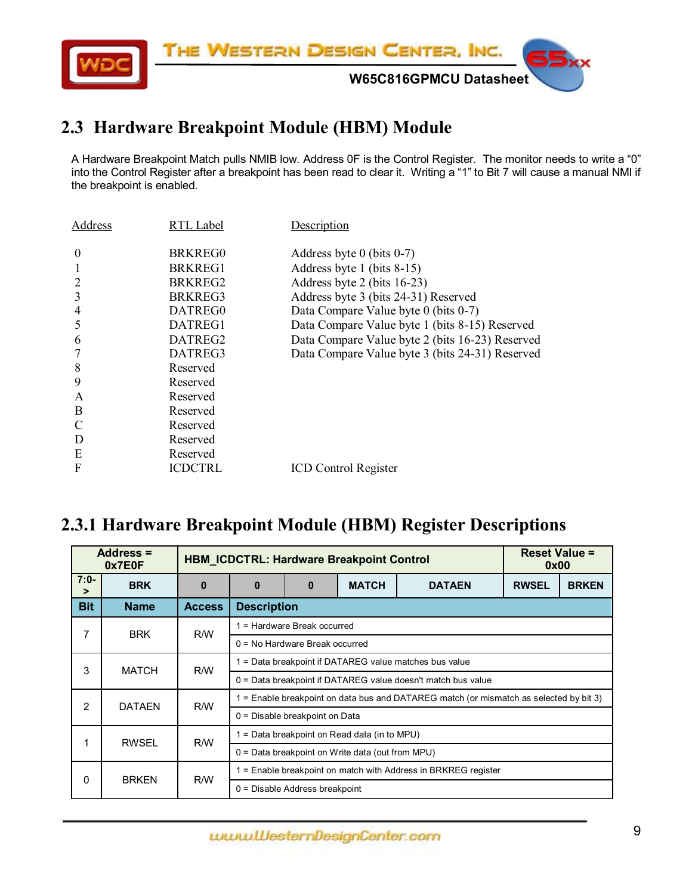

#### <span id="page-8-0"></span>**2.3 Hardware Breakpoint Module (HBM) Module**

A Hardware Breakpoint Match pulls NMIB low. Address 0F is the Control Register. The monitor needs to write a "0" into the Control Register after a breakpoint has been read to clear it. Writing a "1" to Bit 7 will cause a manual NMI if the breakpoint is enabled.

| RTL Label           | Description                                     |
|---------------------|-------------------------------------------------|
| BRKREG0             | Address byte 0 (bits $0-7$ )                    |
| BRKREG1             | Address byte 1 (bits 8-15)                      |
| BRKREG <sub>2</sub> | Address byte 2 (bits 16-23)                     |
| BRKREG3             | Address byte 3 (bits 24-31) Reserved            |
| DATREG0             | Data Compare Value byte 0 (bits 0-7)            |
| DATREG1             | Data Compare Value byte 1 (bits 8-15) Reserved  |
| DATREG2             | Data Compare Value byte 2 (bits 16-23) Reserved |
| DATREG3             | Data Compare Value byte 3 (bits 24-31) Reserved |
| Reserved            |                                                 |
| Reserved            |                                                 |
| Reserved            |                                                 |
| Reserved            |                                                 |
| Reserved            |                                                 |
| Reserved            |                                                 |
| Reserved            |                                                 |
| <b>ICDCTRL</b>      | <b>ICD Control Register</b>                     |
|                     |                                                 |

#### <span id="page-8-1"></span>**2.3.1 Hardware Breakpoint Module (HBM) Register Descriptions**

| Address =<br>0x7E0F      |               | <b>HBM ICDCTRL: Hardware Breakpoint Control</b>                                               |                                                              |                                  |              |               |              | <b>Reset Value =</b><br>0x00 |  |  |
|--------------------------|---------------|-----------------------------------------------------------------------------------------------|--------------------------------------------------------------|----------------------------------|--------------|---------------|--------------|------------------------------|--|--|
| $7:0-$<br>$\geq$         | <b>BRK</b>    | $\bf{0}$                                                                                      | $\bf{0}$                                                     | 0                                | <b>MATCH</b> | <b>DATAEN</b> | <b>RWSEL</b> | <b>BRKEN</b>                 |  |  |
| <b>Bit</b>               | <b>Name</b>   | <b>Access</b>                                                                                 | <b>Description</b>                                           |                                  |              |               |              |                              |  |  |
| 7                        | <b>BRK</b>    | R/W                                                                                           |                                                              | 1 = Hardware Break occurred      |              |               |              |                              |  |  |
|                          |               |                                                                                               | $0 = No$ Hardware Break occurred                             |                                  |              |               |              |                              |  |  |
| 3                        | <b>MATCH</b>  | R/W                                                                                           | = Data breakpoint if DATAREG value matches bus value         |                                  |              |               |              |                              |  |  |
|                          |               |                                                                                               | 0 = Data breakpoint if DATAREG value doesn't match bus value |                                  |              |               |              |                              |  |  |
| $\overline{2}$           | <b>DATAEN</b> | 1 = Enable breakpoint on data bus and DATAREG match (or mismatch as selected by bit 3)<br>R/W |                                                              |                                  |              |               |              |                              |  |  |
|                          |               |                                                                                               | 0 = Disable breakpoint on Data                               |                                  |              |               |              |                              |  |  |
| 1                        | <b>RWSEL</b>  | R/W                                                                                           | = Data breakpoint on Read data (in to MPU)                   |                                  |              |               |              |                              |  |  |
|                          |               |                                                                                               | $0 = Data$ breakpoint on Write data (out from MPU)           |                                  |              |               |              |                              |  |  |
| <b>BRKEN</b><br>$\Omega$ |               | R/W                                                                                           | = Enable breakpoint on match with Address in BRKREG register |                                  |              |               |              |                              |  |  |
|                          |               |                                                                                               |                                                              | $0 =$ Disable Address breakpoint |              |               |              |                              |  |  |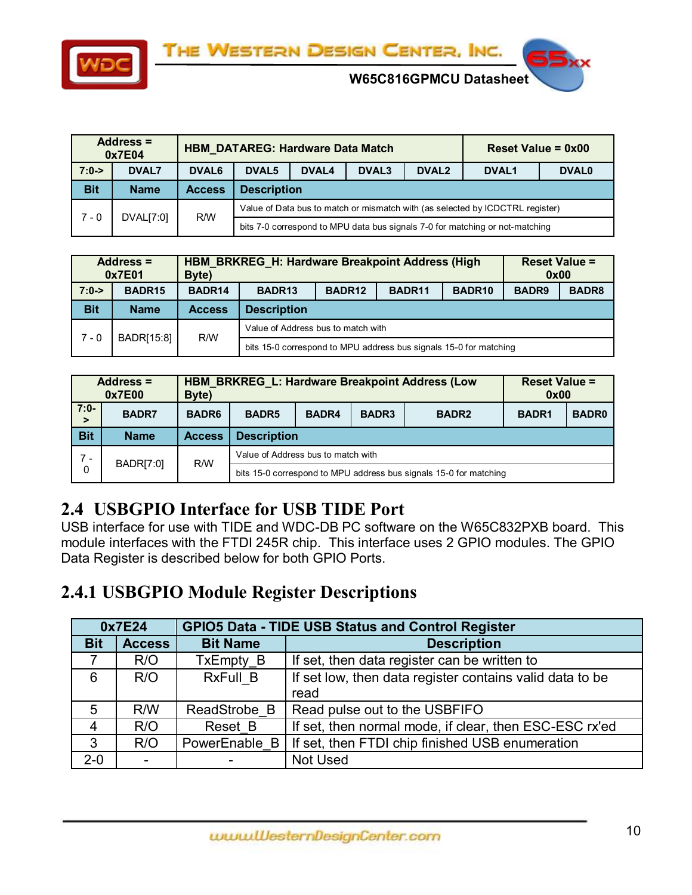



**W65C816GPMCU Datasheet** 

|                                                                                      | <b>Address =</b><br>0x7E04 |                   | <b>HBM_DATAREG: Hardware Data Match</b> |                                                                                 | Reset Value = $0x00$ |  |                                                                              |  |  |  |
|--------------------------------------------------------------------------------------|----------------------------|-------------------|-----------------------------------------|---------------------------------------------------------------------------------|----------------------|--|------------------------------------------------------------------------------|--|--|--|
| $7:0-$                                                                               | <b>DVAL7</b>               | DVAL <sub>6</sub> | DVAL <sub>5</sub>                       | DVAL <sub>3</sub><br>DVAL <sub>2</sub><br>DVAL4<br><b>DVAL1</b><br><b>DVAL0</b> |                      |  |                                                                              |  |  |  |
| <b>Bit</b>                                                                           | <b>Name</b>                | <b>Access</b>     |                                         | <b>Description</b>                                                              |                      |  |                                                                              |  |  |  |
| Value of Data bus to match or mismatch with (as selected by ICDCTRL register)<br>R/W |                            |                   |                                         |                                                                                 |                      |  |                                                                              |  |  |  |
| 7 - 0                                                                                | DVAL[7:0]                  |                   |                                         |                                                                                 |                      |  | bits 7-0 correspond to MPU data bus signals 7-0 for matching or not-matching |  |  |  |

|            | <b>Address =</b><br>0x7E01 | Byte)         | <b>HBM BRKREG H: Hardware Breakpoint Address (High</b>            | <b>Reset Value =</b><br>0x00                                   |  |  |  |  |  |  |
|------------|----------------------------|---------------|-------------------------------------------------------------------|----------------------------------------------------------------|--|--|--|--|--|--|
| $7:0-$     | BADR <sub>15</sub>         | BADR14        | BADR <sub>13</sub>                                                | BADR <sub>12</sub><br>BADR <sub>11</sub><br>BADR <sub>10</sub> |  |  |  |  |  |  |
| <b>Bit</b> | <b>Name</b>                | <b>Access</b> | <b>Description</b>                                                |                                                                |  |  |  |  |  |  |
| $7 - 0$    | BADR[15:8]                 | R/W           | Value of Address bus to match with                                |                                                                |  |  |  |  |  |  |
|            |                            |               | bits 15-0 correspond to MPU address bus signals 15-0 for matching |                                                                |  |  |  |  |  |  |

|             | Address $=$<br>0x7E00 | Byte)         | HBM BRKREG L: Hardware Breakpoint Address (Low                    | <b>Reset Value =</b><br>0x00 |              |              |  |  |  |  |
|-------------|-----------------------|---------------|-------------------------------------------------------------------|------------------------------|--------------|--------------|--|--|--|--|
| $7:0-$<br>> | <b>BADR7</b>          | <b>BADR6</b>  | <b>BADR5</b>                                                      | BADR4                        | <b>BADR1</b> | <b>BADR0</b> |  |  |  |  |
| <b>Bit</b>  | <b>Name</b>           | <b>Access</b> |                                                                   | <b>Description</b>           |              |              |  |  |  |  |
| $7 -$       |                       | R/W           | Value of Address bus to match with                                |                              |              |              |  |  |  |  |
| 0           | <b>BADR[7:0]</b>      |               | bits 15-0 correspond to MPU address bus signals 15-0 for matching |                              |              |              |  |  |  |  |

## <span id="page-9-0"></span>**2.4 USBGPIO Interface for USB TIDE Port**

USB interface for use with TIDE and WDC-DB PC software on the W65C832PXB board. This module interfaces with the FTDI 245R chip. This interface uses 2 GPIO modules. The GPIO Data Register is described below for both GPIO Ports.

#### <span id="page-9-1"></span>**2.4.1 USBGPIO Module Register Descriptions**

| 0x7E24          |               | <b>GPIO5 Data - TIDE USB Status and Control Register</b>             |                                                        |  |  |  |  |
|-----------------|---------------|----------------------------------------------------------------------|--------------------------------------------------------|--|--|--|--|
| <b>Bit</b>      | <b>Access</b> | <b>Bit Name</b>                                                      | <b>Description</b>                                     |  |  |  |  |
|                 | R/O           | If set, then data register can be written to<br>TxEmpty B            |                                                        |  |  |  |  |
| 6               | R/O           | If set low, then data register contains valid data to be<br>RxFull B |                                                        |  |  |  |  |
|                 |               |                                                                      | read                                                   |  |  |  |  |
| $5\overline{)}$ | R/W           | ReadStrobe B                                                         | Read pulse out to the USBFIFO                          |  |  |  |  |
| $\overline{4}$  | R/O           | Reset B                                                              | If set, then normal mode, if clear, then ESC-ESC rx'ed |  |  |  |  |
| 3               | R/O           | PowerEnable B                                                        | If set, then FTDI chip finished USB enumeration        |  |  |  |  |
| $2 - 0$         |               |                                                                      | Not Used                                               |  |  |  |  |